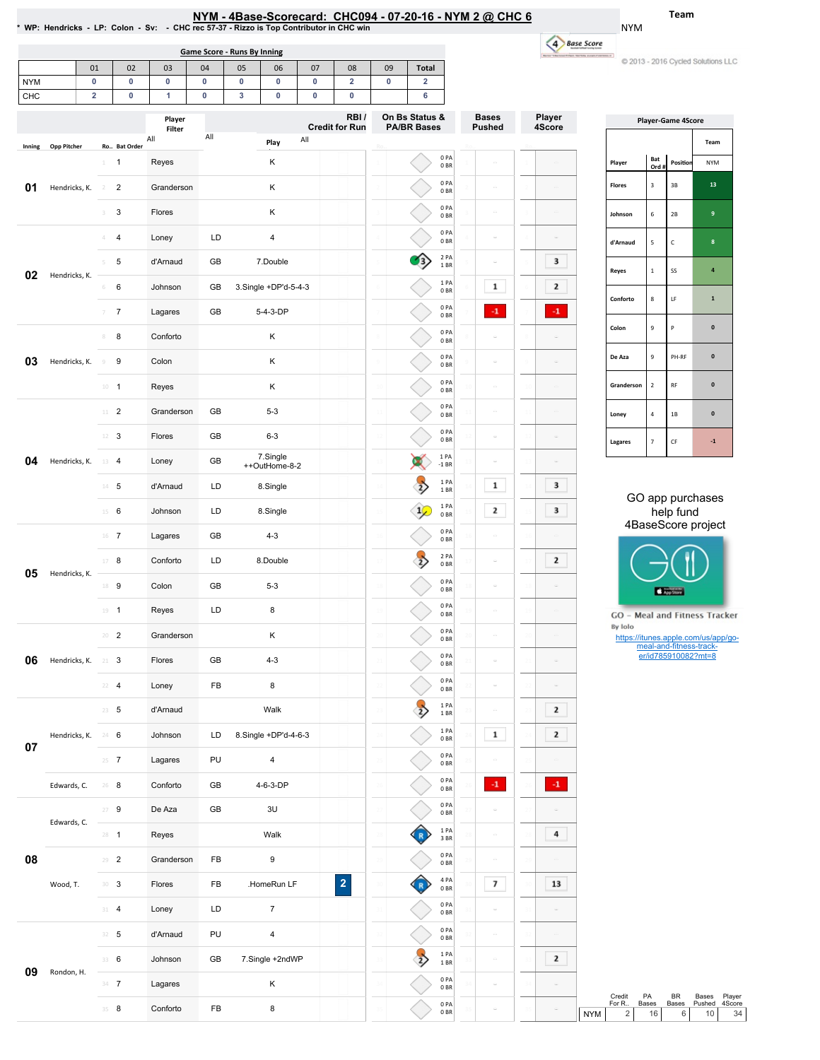| NYM - 4Base-Scorecard: CHC094 - 07-20-16 - NYM 2 @ CHC 6                                |  |
|-----------------------------------------------------------------------------------------|--|
| * WP: Hendricks - LP: Colon - Sv: - CHC rec 57-37 - Rizzo is Top Contributor in CHC win |  |

Game Score - Runs By Inning

NYM

u.

4 Base Score

C 2013 - 2016 Cycled Solutions LLC

|                   |                    | 01                                   | 02                     | 03               | 04                     | 05                         | 06                        | 07                     | 08                                   | 09        | Total                                |                            |                               |                                                                                                                                                                                                                                                                                                                                                               |                                                |                |                                                | A CATA - CATA CACICA OMININTO ETC   |  |
|-------------------|--------------------|--------------------------------------|------------------------|------------------|------------------------|----------------------------|---------------------------|------------------------|--------------------------------------|-----------|--------------------------------------|----------------------------|-------------------------------|---------------------------------------------------------------------------------------------------------------------------------------------------------------------------------------------------------------------------------------------------------------------------------------------------------------------------------------------------------------|------------------------------------------------|----------------|------------------------------------------------|-------------------------------------|--|
| <b>NYM</b><br>CHC |                    | $\pmb{0}$<br>$\overline{\mathbf{2}}$ | $\pmb{0}$<br>$\pmb{0}$ | $\pmb{0}$<br>1   | $\pmb{0}$<br>$\pmb{0}$ | $\mathbf 0$<br>$\mathsf 3$ | 0<br>$\mathbf 0$          | $\pmb{0}$<br>$\pmb{0}$ | $\overline{\mathbf{2}}$<br>$\pmb{0}$ | $\pmb{0}$ | $\mathbf 2$<br>6                     |                            |                               |                                                                                                                                                                                                                                                                                                                                                               |                                                |                |                                                |                                     |  |
|                   |                    |                                      |                        | Player<br>Filter | All                    |                            |                           |                        | RBI/<br><b>Credit for Run</b>        |           | On Bs Status &<br><b>PA/BR Bases</b> |                            | <b>Bases</b><br><b>Pushed</b> | Player<br>4Score                                                                                                                                                                                                                                                                                                                                              |                                                |                | <b>Player-Game 4Score</b>                      |                                     |  |
| Inning            | <b>Opp Pitcher</b> |                                      | Ro Bat Order           | All              |                        |                            | Play                      | All                    |                                      |           |                                      | 0 PA                       |                               |                                                                                                                                                                                                                                                                                                                                                               |                                                |                |                                                | Team                                |  |
|                   |                    |                                      | $1 \quad 1$            | Reyes            |                        |                            | Κ                         |                        |                                      |           |                                      | 0BR                        |                               | $\hskip1.9cm\hskip1.9cm\hskip1.9cm\hskip1.9cm\hskip1.9cm\hskip1.9cm\hskip1.9cm\hskip1.9cm\hskip1.9cm\hskip1.9cm\hskip1.9cm\hskip1.9cm\hskip1.9cm\hskip1.9cm\hskip1.9cm\hskip1.9cm\hskip1.9cm\hskip1.9cm\hskip1.9cm\hskip1.9cm\hskip1.9cm\hskip1.9cm\hskip1.9cm\hskip1.9cm\hskip1.9cm\hskip1.9cm\hskip1.9cm\hskip1.9cm\hskip1.9cm\hskip1.9cm\hskip1.9cm\hskip$ | Player                                         | Bat<br>Ord #   | Position                                       | <b>NYM</b>                          |  |
| 01                | Hendricks, K.      | $2 -$                                | $\overline{2}$         | Granderson       |                        |                            | Κ                         |                        |                                      |           |                                      | 0PA<br>0BR                 |                               |                                                                                                                                                                                                                                                                                                                                                               | Flores                                         | $\mathsf 3$    | $3\mathsf{B}$                                  | 13                                  |  |
|                   |                    | $\overline{\mathbf{3}}$              | 3                      | Flores           |                        |                            | Κ                         |                        |                                      |           |                                      | 0 PA<br>0BR                |                               |                                                                                                                                                                                                                                                                                                                                                               | Johnson                                        | $\,6\,$        | $2\mathsf{B}$                                  | 9                                   |  |
|                   |                    | 4                                    | $\overline{4}$         | Loney            | LD                     |                            | $\overline{4}$            |                        |                                      |           |                                      | 0PA<br>0BR                 | $\overline{\phantom{m}}$      | $\Rightarrow$                                                                                                                                                                                                                                                                                                                                                 | d'Arnaud                                       | 5              | $\mathsf{C}$                                   | $\bf{8}$                            |  |
| 02                | Hendricks, K.      | $5 -$                                | 5                      | d'Arnaud         | GB                     |                            | 7.Double                  |                        |                                      |           | $\overline{\mathbf{3}}$              | 2 PA<br>1BR                |                               | 3                                                                                                                                                                                                                                                                                                                                                             | Reyes                                          | $\,$ 1         | SS                                             | $\clubsuit$                         |  |
|                   |                    | $6\,$                                | 6                      | Johnson          | GB                     |                            | 3.Single +DP'd-5-4-3      |                        |                                      |           |                                      | 1PA<br>0BR                 | 1                             | $\mathbf{z}$                                                                                                                                                                                                                                                                                                                                                  | Conforto                                       | $\bf 8$        | LF                                             | $\mathbf 1$                         |  |
|                   |                    | $\overline{\mathcal{I}}$             | $\overline{7}$         | Lagares          | GB                     |                            | 5-4-3-DP                  |                        |                                      |           |                                      | 0PA<br>0BR                 | $\mathbf{-1}$                 | $-1$                                                                                                                                                                                                                                                                                                                                                          |                                                |                |                                                |                                     |  |
|                   |                    | 8                                    | 8                      | Conforto         |                        |                            | Κ                         |                        |                                      |           |                                      | 0 PA<br>0B                 |                               |                                                                                                                                                                                                                                                                                                                                                               | Colon                                          | 9              | P                                              | $\mathbf 0$                         |  |
| 03                | Hendricks, K.      |                                      | $9$ 9                  | Colon            |                        |                            | Κ                         |                        |                                      |           |                                      | 0PA<br>0BR                 |                               | C.                                                                                                                                                                                                                                                                                                                                                            | De Aza                                         | 9              | PH-RF                                          | $\pmb{0}$                           |  |
|                   |                    |                                      | $10 - 1$               | Reyes            |                        |                            | Κ                         |                        |                                      |           |                                      | 0 PA<br>0BR                |                               | $\qquad \qquad =\qquad$                                                                                                                                                                                                                                                                                                                                       | Granderson                                     | $\overline{2}$ | RF                                             | $\pmb{0}$                           |  |
|                   |                    |                                      | $11$ – $2$             | Granderson       | GB                     |                            | $5 - 3$                   |                        |                                      |           |                                      | 0 PA<br>0 <sub>BR</sub>    |                               |                                                                                                                                                                                                                                                                                                                                                               | Loney                                          | $\overline{4}$ | $1\mathsf{B}$                                  | $\pmb{0}$                           |  |
|                   |                    |                                      | $12 \quad 3$           | Flores           | GB                     |                            | $6 - 3$                   |                        |                                      |           |                                      | 0 PA<br>0 <sub>BR</sub>    |                               | $\qquad \qquad =\qquad$                                                                                                                                                                                                                                                                                                                                       | Lagares                                        | $\overline{7}$ | $\mathsf{CF}$                                  | $-1$                                |  |
| 04                | Hendricks, K.      |                                      | 13 4                   | Loney            | GB                     |                            | 7.Single<br>++OutHome-8-2 |                        |                                      |           |                                      | 1 PA<br>$-1$ BR            |                               |                                                                                                                                                                                                                                                                                                                                                               |                                                |                |                                                |                                     |  |
|                   |                    |                                      | $14 - 5$               | d'Arnaud         | LD                     |                            | 8.Single                  |                        |                                      |           | $\frac{1}{2}$                        | 1PA<br>1BR                 | $\mathbf{1}$                  | 3                                                                                                                                                                                                                                                                                                                                                             | GO app purchases<br>help fund                  |                |                                                |                                     |  |
|                   |                    |                                      | $15 \t 6$              | Johnson          | LD                     |                            | 8.Single                  |                        |                                      |           | $\overline{\mathcal{L}}$             | 1PA<br>0BR                 | $\mathbf{2}$                  | 3                                                                                                                                                                                                                                                                                                                                                             |                                                |                |                                                |                                     |  |
|                   |                    |                                      | $16$ 7                 | Lagares          | GB                     |                            | $4 - 3$                   |                        |                                      |           |                                      | 0PA<br>0BR                 |                               |                                                                                                                                                                                                                                                                                                                                                               |                                                |                |                                                | 4BaseScore project                  |  |
|                   |                    |                                      | $17 - 8$               | Conforto         | LD                     |                            | 8.Double                  |                        |                                      |           | $\rightarrow$                        | 2 PA<br>0BR                |                               | $\mathbf{z}$                                                                                                                                                                                                                                                                                                                                                  | App Store                                      |                |                                                |                                     |  |
| 05                | Hendricks, K.      |                                      | 18 9                   | Colon            | GB                     |                            | $5 - 3$                   |                        |                                      |           |                                      | 0PA<br>0BR                 |                               |                                                                                                                                                                                                                                                                                                                                                               |                                                |                |                                                |                                     |  |
|                   |                    |                                      | $19 - 1$               | Reyes            | LD                     |                            | 8                         |                        |                                      |           |                                      | 0PA<br>0B                  |                               | $\hskip 1.5 cm \Box$                                                                                                                                                                                                                                                                                                                                          | GO - Meal and Fitness Tracker                  |                |                                                |                                     |  |
|                   |                    |                                      | $20 - 2$               | Granderson       |                        |                            | Κ                         |                        |                                      |           |                                      | 0 PA<br>0BR                |                               |                                                                                                                                                                                                                                                                                                                                                               | By Iolo<br>https://itunes.apple.com/us/app/go- |                |                                                |                                     |  |
| 06                | Hendricks, K.      | 21                                   | 3                      | Flores           | GB                     |                            | $4 - 3$                   |                        |                                      |           |                                      | 0 PA<br>0 <sub>BR</sub>    |                               |                                                                                                                                                                                                                                                                                                                                                               |                                                |                | meal-and-fitness-track-<br>er/id785910082?mt=8 |                                     |  |
|                   |                    |                                      | $22 - 4$               | Loney            | FB                     |                            | 8                         |                        |                                      |           |                                      | 0 PA<br>0B                 |                               | $\equiv$                                                                                                                                                                                                                                                                                                                                                      |                                                |                |                                                |                                     |  |
|                   |                    |                                      | $23 - 5$               | d'Arnaud         |                        |                            | Walk                      |                        |                                      |           | $\frac{1}{2}$                        | 1PA<br>$1\;\mathrm{BR}$    |                               | $\mathbf{2}$                                                                                                                                                                                                                                                                                                                                                  |                                                |                |                                                |                                     |  |
|                   | Hendricks, K. 24 6 |                                      |                        | Johnson          | LD                     |                            | 8.Single +DP'd-4-6-3      |                        |                                      |           |                                      | $1\ \mathsf{PA}$<br>0BR    | $\mathbf{1}$                  | $\mathbf{z}$                                                                                                                                                                                                                                                                                                                                                  |                                                |                |                                                |                                     |  |
| 07                |                    |                                      | $25 \t{7}$             | Lagares          | PU                     |                            | $\overline{4}$            |                        |                                      |           |                                      | 0PA<br>$0\;\mathrm{BR}$    |                               |                                                                                                                                                                                                                                                                                                                                                               |                                                |                |                                                |                                     |  |
|                   | Edwards, C.        |                                      | $26 - 8$               | Conforto         | GB                     |                            | 4-6-3-DP                  |                        |                                      |           |                                      | 0PA                        | $\mathbf{-1}$                 | $\mathbf{-1}$                                                                                                                                                                                                                                                                                                                                                 |                                                |                |                                                |                                     |  |
|                   |                    |                                      | $27 - 9$               | De Aza           | GB                     |                            | 3U                        |                        |                                      |           |                                      | 0B<br>0PA                  |                               |                                                                                                                                                                                                                                                                                                                                                               |                                                |                |                                                |                                     |  |
|                   | Edwards, C.        |                                      | $28 - 1$               | Reyes            |                        |                            | Walk                      |                        |                                      |           | $\mathbb{R}$                         | 0B<br>1PA                  |                               | 4                                                                                                                                                                                                                                                                                                                                                             |                                                |                |                                                |                                     |  |
| 08                |                    |                                      | $29 - 2$               | Granderson       | FB                     |                            | 9                         |                        |                                      |           |                                      | 3 BR<br>0PA                |                               | $\qquad \qquad \qquad \Box$                                                                                                                                                                                                                                                                                                                                   |                                                |                |                                                |                                     |  |
|                   | Wood, T.           |                                      | $30-3$                 | Flores           | FB                     |                            | .HomeRun LF               |                        | $\overline{2}$                       |           | $\mathsf R$                          | 0BR<br>4 PA                | $\overline{7}$                | 13                                                                                                                                                                                                                                                                                                                                                            |                                                |                |                                                |                                     |  |
|                   |                    |                                      | $31 - 4$               | Loney            | LD                     |                            | $\overline{7}$            |                        |                                      |           |                                      | 0BR<br>0 PA                |                               | $\bar{\omega}$                                                                                                                                                                                                                                                                                                                                                |                                                |                |                                                |                                     |  |
|                   |                    |                                      | $32 - 5$               |                  |                        |                            |                           |                        |                                      |           |                                      | 0B<br>0 PA                 |                               | $\equiv$                                                                                                                                                                                                                                                                                                                                                      |                                                |                |                                                |                                     |  |
|                   |                    |                                      |                        | d'Arnaud         | PU                     |                            | $\overline{4}$            |                        |                                      |           |                                      | 0BR<br>1 PA                |                               |                                                                                                                                                                                                                                                                                                                                                               |                                                |                |                                                |                                     |  |
| 09                | Rondon, H.         |                                      | 33 6                   | Johnson          | GB                     |                            | 7.Single +2ndWP           |                        |                                      |           | $\overline{z}$                       | $1\;\mathrm{BR}$<br>$0$ PA |                               | $\mathbf{2}$                                                                                                                                                                                                                                                                                                                                                  |                                                |                |                                                |                                     |  |
|                   |                    |                                      | $34 - 7$               | Lagares          |                        |                            | Κ                         |                        |                                      |           |                                      | $0\;\mathrm{BR}$           |                               |                                                                                                                                                                                                                                                                                                                                                               | Credit<br>For R                                | PA<br>Bases    | BR<br>Bases                                    | Player<br>Bases<br>Pushed<br>4Score |  |
|                   |                    |                                      | $35 - 8$               | Conforto         | FB                     |                            | 8                         |                        |                                      |           |                                      | $0$ PA<br>0B               |                               |                                                                                                                                                                                                                                                                                                                                                               | <b>NYM</b><br>$\overline{2}$                   | 16             | 6                                              | 10                                  |  |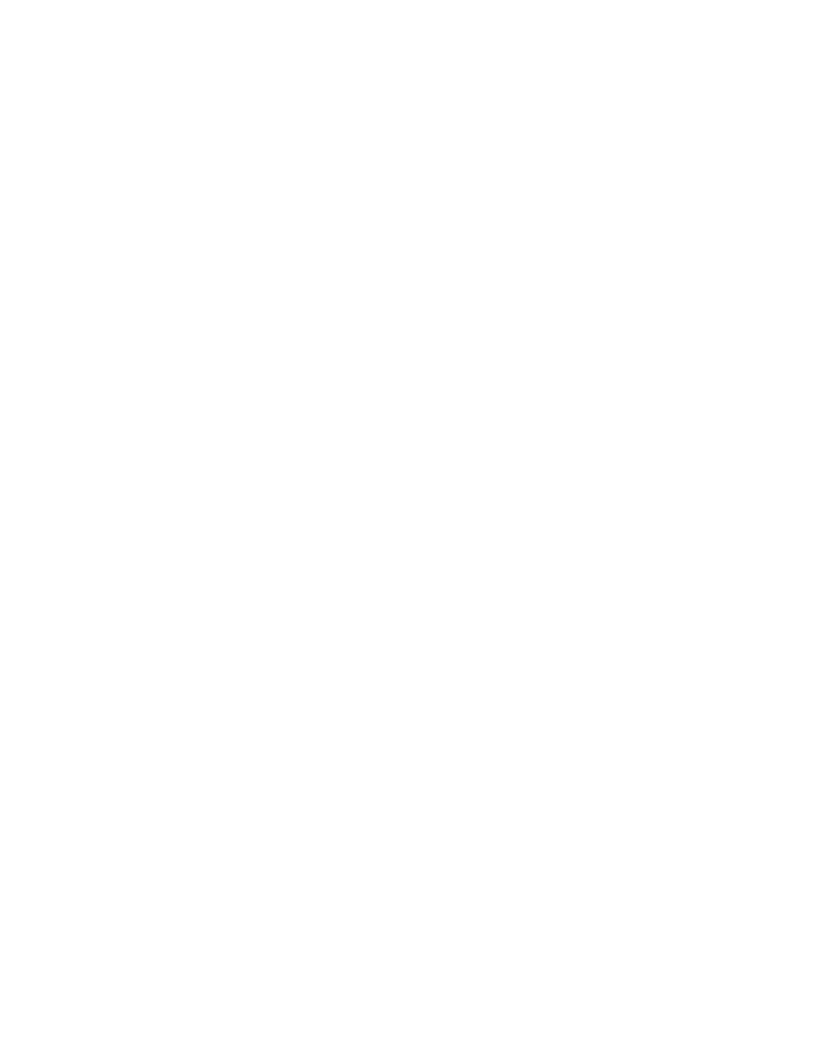| : 3 + HOGULFNV / 3 & RORQ 6Y                                                                                                                                                                                                                                                                                                                      |                       |            |                                | 1 < 0<br>$8+8$ UF        |    | %DVH6FRUHFDLG &+&            |                      | 5 LJ R LV 7 RS & ROMMEXWRULQ & + & Z LQ |    |               |              | $1 < 0$ # $8 + 8$ |       | EzD                                                       |                                         | d u                    |                                  |  |  |  |
|---------------------------------------------------------------------------------------------------------------------------------------------------------------------------------------------------------------------------------------------------------------------------------------------------------------------------------------------------|-----------------------|------------|--------------------------------|--------------------------|----|------------------------------|----------------------|-----------------------------------------|----|---------------|--------------|-------------------|-------|-----------------------------------------------------------|-----------------------------------------|------------------------|----------------------------------|--|--|--|
|                                                                                                                                                                                                                                                                                                                                                   |                       |            |                                | ' u ^ } OEr Zuv• C/vv]vP |    |                              |                      |                                         |    |               |              |                   |       |                                                           |                                         |                        |                                  |  |  |  |
|                                                                                                                                                                                                                                                                                                                                                   | ìí                    | ìî         | ìï                             | ìð                       | ìñ | ìò                           | ìó                   | ìô                                      | ìõ | d}šo          |              |                   |       |                                                           |                                         |                        |                                  |  |  |  |
| 1 < 0<br>$8 + 8$                                                                                                                                                                                                                                                                                                                                  |                       |            |                                |                          |    |                              |                      |                                         |    |               |              |                   |       |                                                           |                                         |                        |                                  |  |  |  |
|                                                                                                                                                                                                                                                                                                                                                   |                       |            | Wol C OE                       |                          |    |                              |                      | $5\%$                                   |    | 2 Q%V 6 VDWXV |              | %DVHV             | 30 NU |                                                           |                                         | WoÇOE u ð^}Œ           |                                  |  |  |  |
| /vv]vP K‰W)§Z OE                                                                                                                                                                                                                                                                                                                                  |                       | Z} XX ŠKŒC | &još Œ<br>$\pmb{\circledcirc}$ | $\pmb{\circledcirc}$     |    | WoÇ                          | $\pmb{\circledcirc}$ | & UHGLWIRU5 XQ                          |    | 3\$ %5 %DVHV  |              | 3 XVKHG           | 6FRUH |                                                           |                                         |                        | d u                              |  |  |  |
|                                                                                                                                                                                                                                                                                                                                                   | f.                    |            | 5HHV                           |                          |    | $\bullet$                    |                      |                                         |    |               | i W<br>$i$ Z |                   |       | Wb C OE                                                   | š<br>KŒ.                                | w∙jŸ}∤                 | EzD                              |  |  |  |
| , v OEI∙U⊲X ⊺                                                                                                                                                                                                                                                                                                                                     |                       |            | * UDQGHU/RQ                    |                          |    | $\sim$                       |                      |                                         |    |               | i W<br>i Z   |                   |       | 80 OF                                                     | Ï.                                      | Ï.                     | $11 -$                           |  |  |  |
|                                                                                                                                                                                                                                                                                                                                                   | $\top$                |            | ) <b>BUHV</b>                  |                          |    | $\cdot$                      |                      |                                         |    |               | i W<br>$i$ Z |                   |       | :} Zv∙} v                                                 | ò                                       | î                      | õ                                |  |  |  |
|                                                                                                                                                                                                                                                                                                                                                   | ð                     |            | / RCH                          | $\prime$ .               |    |                              |                      |                                         |    |               | ì W<br>ì Z   |                   |       | $-$ OE $\mu$                                              | ñ                                       |                        | ô                                |  |  |  |
|                                                                                                                                                                                                                                                                                                                                                   | ñ                     |            | G\$ LODXG                      | $*$ %                    |    | ' RXE®                       |                      |                                         |    |               | îW<br>í Z    |                   |       |                                                           |                                         |                        |                                  |  |  |  |
| , v OEI•U <x< td=""><td>ò</td><td></td><td>- RKQVRQ</td><td><math>*</math> %</td><td></td><td>61Q10H ' 3 G</td><td></td><td></td><td></td><td></td><td>i W<br/>i Z</td><td></td><td></td><td><math>Z</math> <math>Q \bullet</math></td><td><math>\mathbf{I}</math></td><td><math display="inline">\mathsf{v}\mathsf{v}</math></td><td>ð</td></x<> | ò                     |            | - RKQVRQ                       | $*$ %                    |    | 61Q10H ' 3 G                 |                      |                                         |    |               | i W<br>i Z   |                   |       | $Z$ $Q \bullet$                                           | $\mathbf{I}$                            | $\mathsf{v}\mathsf{v}$ | ð                                |  |  |  |
|                                                                                                                                                                                                                                                                                                                                                   | ó                     |            | / DJDUHV                       | $*$ %                    |    | '3                           |                      |                                         |    |               | i W          |                   |       | $\}$ v( $\}$ OB                                           | ô                                       | $\mathcal{A}$          | $\mathbf{I}$                     |  |  |  |
|                                                                                                                                                                                                                                                                                                                                                   | ô                     |            | & RORUR                        |                          |    | $\cdot$                      |                      |                                         |    |               | i Z<br>i W   |                   |       | }o}v                                                      | õ                                       | W                      | ì.                               |  |  |  |
| , vQEl∙UkX ŏ                                                                                                                                                                                                                                                                                                                                      |                       |            | & RORQ                         |                          |    | $\cdot$                      |                      |                                         |    |               | i Z<br>i W   |                   |       | j.                                                        | õ                                       | WrZ&                   | ì.                               |  |  |  |
|                                                                                                                                                                                                                                                                                                                                                   | íì.                   |            | $5H$ HV                        |                          |    |                              |                      |                                         |    |               | i Z<br>i W   |                   |       | 'OEv OBV                                                  | Î                                       | Z&                     | $\mathbf{i}$                     |  |  |  |
|                                                                                                                                                                                                                                                                                                                                                   |                       |            | * UDQGHU/RQ                    | * $%$                    |    | $\sim$                       |                      |                                         |    |               | i Z<br>i W   |                   |       |                                                           |                                         |                        |                                  |  |  |  |
|                                                                                                                                                                                                                                                                                                                                                   | i í                   |            |                                |                          |    |                              |                      |                                         |    |               | $i$ Z<br>i W |                   |       | →v Ç                                                      | ð                                       | $\mathbf{I}$           | ì.                               |  |  |  |
|                                                                                                                                                                                                                                                                                                                                                   | íî                    |            | ) <b>BUHV</b>                  | * $%$                    |    | $61QJ$ $\Theta$              |                      |                                         |    |               | $i$ Z<br>í W |                   |       | $> P$ Œ                                                   | ó                                       | &                      | rí                               |  |  |  |
| , v OEI∙U <x f⊺<="" td=""><td></td><td></td><td>/ RCH</td><td>* <math>%</math></td><td></td><td>2 XWRPH</td><td></td><td></td><td></td><td></td><td>rí Z</td><td></td><td></td><td></td><td></td><td></td><td></td></x>                                                                                                                           |                       |            | / RCH                          | * $%$                    |    | 2 XWRPH                      |                      |                                         |    |               | rí Z         |                   |       |                                                           |                                         |                        |                                  |  |  |  |
|                                                                                                                                                                                                                                                                                                                                                   | íŏ                    |            | G\$ LODXG                      | $\prime$ .               |    | $61QJ$ $\Theta$              |                      |                                         |    |               | í W<br>í Z   |                   |       |                                                           |                                         |                        | * 2 DSS SXUFKDVHV                |  |  |  |
|                                                                                                                                                                                                                                                                                                                                                   | íñ                    |            | - RKQVRQ                       | $\prime$ .               |    | $61QJ$ $\Theta$              |                      |                                         |    |               | í W<br>i Z   |                   |       |                                                           | KHOS IXOG<br><b>YOVH'S FRUH SURWIFW</b> |                        |                                  |  |  |  |
|                                                                                                                                                                                                                                                                                                                                                   | íò                    |            | / DJDUHV                       | $*$ %                    |    |                              |                      |                                         |    |               | i W<br>i Z   |                   |       |                                                           |                                         |                        |                                  |  |  |  |
| , v Œl•UkX-                                                                                                                                                                                                                                                                                                                                       | íó                    |            | & ROIRUR                       | $\prime$ .               |    | ' RXE®                       |                      |                                         |    |               | îW<br>i Z    |                   |       |                                                           |                                         |                        |                                  |  |  |  |
|                                                                                                                                                                                                                                                                                                                                                   | íô                    |            | & RORQ                         | * $%$                    |    |                              |                      |                                         |    |               | i W<br>i Z   |                   |       |                                                           |                                         |                        |                                  |  |  |  |
|                                                                                                                                                                                                                                                                                                                                                   | íõ                    |            | 5HHV                           | $\prime$ .               |    |                              |                      |                                         |    |               | i W<br>i Z   |                   |       | KWASV LWACHN DSSOH FRP XV DSS JR<br>PHDCDCG ILMOHAV WIDEN |                                         |                        |                                  |  |  |  |
|                                                                                                                                                                                                                                                                                                                                                   | $\hat{1}$             |            | * UDQGHU/RQ                    |                          |    | $\sim$                       |                      |                                         |    |               | i W<br>i Z   |                   |       |                                                           |                                         |                        |                                  |  |  |  |
| , v OEI∙U⊲X îí                                                                                                                                                                                                                                                                                                                                    |                       |            | $)$ CRUHV                      | $*$ %                    |    |                              |                      |                                         |    |               | i W<br>i Z   |                   |       |                                                           | <b>HUIG</b>                             |                        | "PW                              |  |  |  |
|                                                                                                                                                                                                                                                                                                                                                   | $\hat{11}$            |            | / RCH                          | ) %                      |    |                              |                      |                                         |    |               | i W<br>$i$ Z |                   |       |                                                           |                                         |                        |                                  |  |  |  |
|                                                                                                                                                                                                                                                                                                                                                   | $-11$                 |            | G\$ LODXG                      |                          |    | $\therefore$ DON             |                      |                                         |    |               | i W<br>$i$ Z |                   |       |                                                           |                                         |                        |                                  |  |  |  |
| , vQEl∙UkX îŏ                                                                                                                                                                                                                                                                                                                                     |                       |            | - RKQVRQ                       | $\prime$ .               |    | 6LQJOH '3G                   |                      |                                         |    |               | i W<br>i Z   |                   |       |                                                           |                                         |                        |                                  |  |  |  |
|                                                                                                                                                                                                                                                                                                                                                   | $\hat{\mathbf{r}}$ in |            | / DJDUHV                       | 38                       |    |                              |                      |                                         |    |               | i W<br>i Z   |                   |       |                                                           |                                         |                        |                                  |  |  |  |
| Á ŒEUX îò                                                                                                                                                                                                                                                                                                                                         |                       |            | & RORUMY                       | $*$ %                    |    | $\overline{\phantom{a}}$ 3   |                      |                                         |    |               | i W<br>i Z   |                   |       |                                                           |                                         |                        |                                  |  |  |  |
|                                                                                                                                                                                                                                                                                                                                                   | ÎÓ                    |            | $'$ H\$]D                      | $*$ %                    |    | 8                            |                      |                                         |    |               | i W<br>i Z   |                   |       |                                                           |                                         |                        |                                  |  |  |  |
| $\land$ OF UX —                                                                                                                                                                                                                                                                                                                                   | Îô                    |            | $5 H$ HV                       |                          |    | $:$ DON                      |                      |                                         |    |               | í W<br>$i$ Z |                   |       |                                                           |                                         |                        |                                  |  |  |  |
|                                                                                                                                                                                                                                                                                                                                                   | ÎÕ                    |            | * UDQGHU/RQ                    | ) %                      |    |                              |                      |                                         |    |               | i W<br>i Z   |                   |       |                                                           |                                         |                        |                                  |  |  |  |
| t }} UdX                                                                                                                                                                                                                                                                                                                                          | $-71$                 |            | $)$ CRUHV                      | ) %                      |    | $+RP$ H <sub>5</sub> $XQ/$ ) |                      |                                         |    |               | ðW           |                   |       |                                                           |                                         |                        |                                  |  |  |  |
|                                                                                                                                                                                                                                                                                                                                                   | Tí.                   |            | / RQH                          | $\prime$ .               |    |                              |                      |                                         |    |               | $i$ Z<br>i W |                   |       |                                                           |                                         |                        |                                  |  |  |  |
|                                                                                                                                                                                                                                                                                                                                                   | Tî.                   |            | G\$ LODXG                      | 38                       |    |                              |                      |                                         |    |               | i Z<br>i W   |                   |       |                                                           |                                         |                        |                                  |  |  |  |
|                                                                                                                                                                                                                                                                                                                                                   |                       |            |                                |                          |    |                              |                      |                                         |    |               | ì Z<br>i W   |                   |       |                                                           |                                         |                        |                                  |  |  |  |
| $Z_y$ v } vU X -                                                                                                                                                                                                                                                                                                                                  | TT.                   |            | - RKQVRQ                       | $*$ %                    |    | 6 LQJOH QG 3                 |                      |                                         |    |               | $i$ Z<br>i W |                   |       |                                                           |                                         |                        |                                  |  |  |  |
|                                                                                                                                                                                                                                                                                                                                                   | ïð                    |            | / DJDUHV                       |                          |    | <b>Contract</b>              |                      |                                         |    |               | i Z<br>i W   |                   |       | &UHGLW 3\$<br>) RU5                                       | %DVHV                                   | $\%5$<br>%DVHV         | %DM-N 30 NHJ<br>3 XWHG<br>6 FRUH |  |  |  |
|                                                                                                                                                                                                                                                                                                                                                   | ïñ                    |            | & ROIRUR                       | ) %                      |    |                              |                      |                                         |    |               | ì Z          |                   |       | 1 < 0                                                     |                                         |                        |                                  |  |  |  |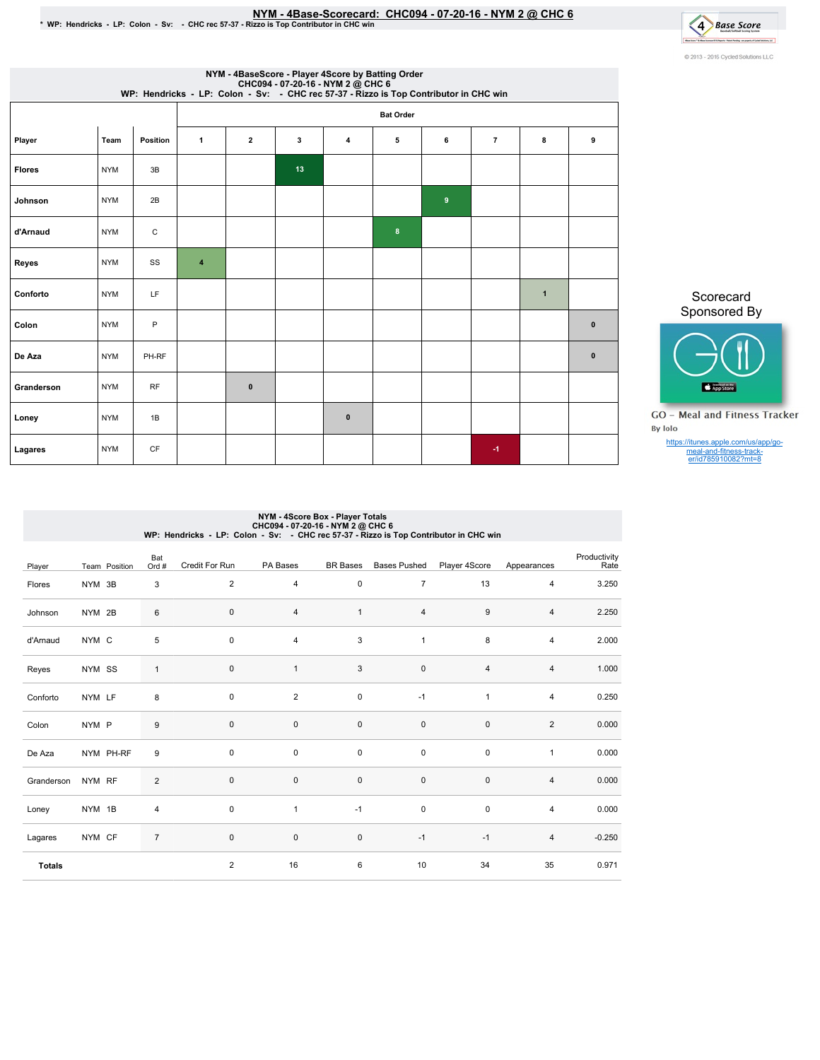## NYM - 4Base-Scorecard: CHC094 - 07-20-16 - NYM 2 @ CHC 6 فwp: Hendricks - LP: Colon - Sv: - CHC rec 57-37 - Rizzo is Top Contributor in CHC win



|               |            |              |                  |              |    | NYM - 4BaseScore - Player 4Score by Batting Order<br>WP: Hendricks - LP: Colon - Sv: - CHC094 - 07-20-16 - NYM 2 @ CHC 6 |                  |                  |                |              |              |
|---------------|------------|--------------|------------------|--------------|----|--------------------------------------------------------------------------------------------------------------------------|------------------|------------------|----------------|--------------|--------------|
|               |            |              |                  |              |    |                                                                                                                          | <b>Bat Order</b> |                  |                |              |              |
| Player        | Team       | Position     | $\mathbf{1}$     | $\mathbf{2}$ | 3  | $\overline{4}$                                                                                                           | 5                | 6                | $\overline{7}$ | 8            | 9            |
| <b>Flores</b> | <b>NYM</b> | 3B           |                  |              | 13 |                                                                                                                          |                  |                  |                |              |              |
| Johnson       | <b>NYM</b> | 2B           |                  |              |    |                                                                                                                          |                  | $\boldsymbol{9}$ |                |              |              |
| d'Arnaud      | <b>NYM</b> | $\mathtt{C}$ |                  |              |    |                                                                                                                          | 8                |                  |                |              |              |
| Reyes         | <b>NYM</b> | SS           | $\boldsymbol{4}$ |              |    |                                                                                                                          |                  |                  |                |              |              |
| Conforto      | <b>NYM</b> | LF           |                  |              |    |                                                                                                                          |                  |                  |                | $\mathbf{1}$ |              |
| Colon         | <b>NYM</b> | P            |                  |              |    |                                                                                                                          |                  |                  |                |              | $\mathbf{0}$ |
| De Aza        | <b>NYM</b> | PH-RF        |                  |              |    |                                                                                                                          |                  |                  |                |              | $\mathbf{0}$ |
| Granderson    | <b>NYM</b> | <b>RF</b>    |                  | $\pmb{0}$    |    |                                                                                                                          |                  |                  |                |              |              |
| Loney         | <b>NYM</b> | 1B           |                  |              |    | $\mathbf 0$                                                                                                              |                  |                  |                |              |              |
| Lagares       | <b>NYM</b> | <b>CF</b>    |                  |              |    |                                                                                                                          |                  |                  | -1             |              |              |

Scorecard Sponsored By



**GO** - Meal and Fitness Tracker By Iolo



# NYM - 4Score Box - Player Totals<br>CHC094 - 07-20-16 PHOM2@ CHCO - CHOMA<br>WP: Hendricks - LP: Colon - Sv: - CHC rec 57-37 - Rizzo is Top Contributor in CHC win

| Player        |        | Team Position | Bat<br>Ord #     | Credit For Run | PA Bases       | <b>BR</b> Bases | <b>Bases Pushed</b> | Player 4Score | Appearances    | Productivity<br>Rate |
|---------------|--------|---------------|------------------|----------------|----------------|-----------------|---------------------|---------------|----------------|----------------------|
| Flores        | NYM 3B |               | 3                | $\overline{2}$ | 4              | $\mathsf 0$     | $\overline{7}$      | 13            | 4              | 3.250                |
| Johnson       | NYM 2B |               | 6                | 0              | $\overline{4}$ | $\mathbf{1}$    | $\overline{4}$      | 9             | $\overline{4}$ | 2.250                |
| d'Arnaud      | NYM C  |               | 5                | $\pmb{0}$      | 4              | 3               | $\mathbf{1}$        | 8             | $\overline{4}$ | 2.000                |
| Reyes         | NYM SS |               | $\mathbf{1}$     | 0              | $\mathbf{1}$   | 3               | $\pmb{0}$           | $\sqrt{4}$    | $\sqrt{4}$     | 1.000                |
| Conforto      | NYM LF |               | 8                | 0              | $\overline{2}$ | 0               | $-1$                | $\mathbf{1}$  | $\overline{4}$ | 0.250                |
| Colon         | NYM P  |               | $\boldsymbol{9}$ | $\mathsf 0$    | $\mathbf 0$    | $\mathsf 0$     | $\mathsf{O}\xspace$ | $\mathbf 0$   | $\overline{2}$ | 0.000                |
| De Aza        |        | NYM PH-RF     | 9                | $\mathbf 0$    | $\mathbf 0$    | $\mathsf 0$     | $\mathsf 0$         | $\mathsf 0$   | $\mathbf{1}$   | 0.000                |
| Granderson    | NYM RF |               | $\overline{2}$   | $\pmb{0}$      | $\pmb{0}$      | $\mathsf 0$     | $\mathsf{O}\xspace$ | $\mathsf 0$   | $\overline{4}$ | 0.000                |
| Loney         | NYM 1B |               | $\overline{4}$   | $\mathbf 0$    | $\mathbf{1}$   | $-1$            | $\pmb{0}$           | $\pmb{0}$     | $\overline{4}$ | 0.000                |
| Lagares       | NYM CF |               | $\overline{7}$   | 0              | $\mathbf 0$    | $\mathsf 0$     | $-1$                | $-1$          | 4              | $-0.250$             |
| <b>Totals</b> |        |               |                  | $\overline{c}$ | 16             | 6               | 10                  | 34            | 35             | 0.971                |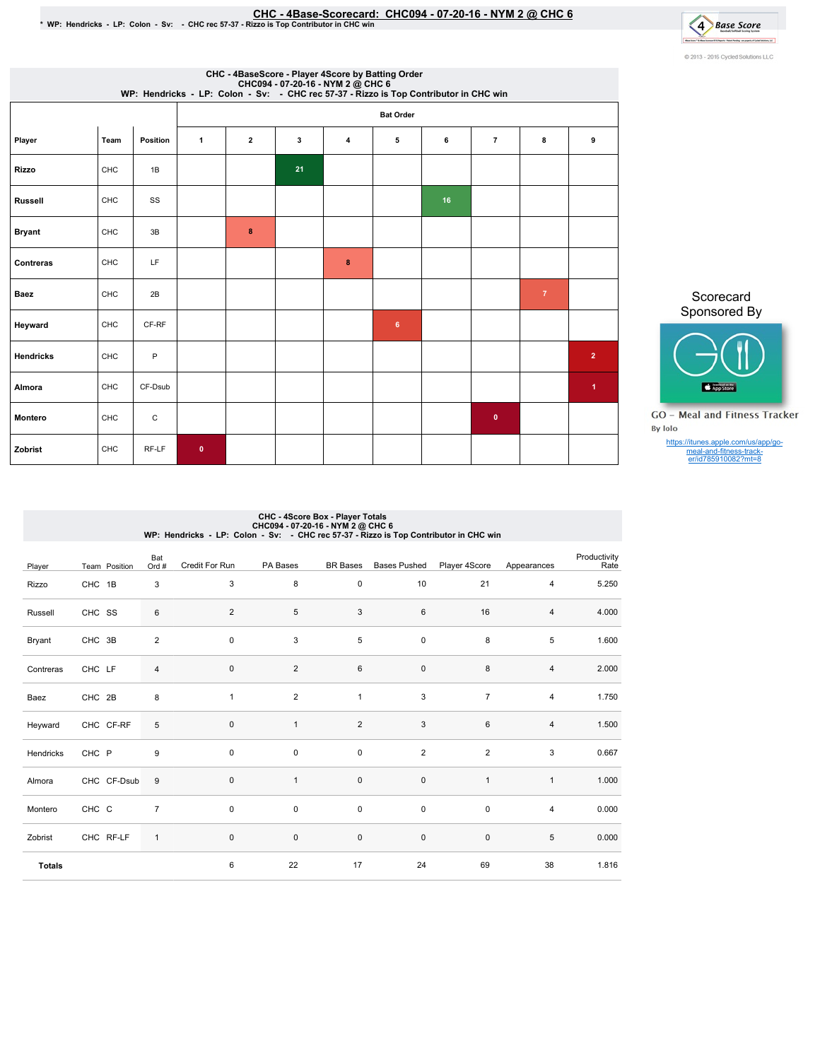## CHC - 4Base-Scorecard: CHC094 - 07-20-16 - NYM 2 @ CHC 6 فttp: Fundricks - LP: Colon - Sv: - CHC rec 57-37 - Rizzo is Top Contributor in CHC win



|                  |      |              | CHC094 - 07-20-16 - NYM 2 @ CHC 6<br>WP: Hendricks - LP: Colon - Sv: - CHC rec 57-37 - Rizzo is Top Contributor in CHC win |                |    |   | CHC - 4BaseScore - Player 4Score by Batting Order |    |                |                |                |
|------------------|------|--------------|----------------------------------------------------------------------------------------------------------------------------|----------------|----|---|---------------------------------------------------|----|----------------|----------------|----------------|
|                  |      |              |                                                                                                                            |                |    |   | <b>Bat Order</b>                                  |    |                |                |                |
| Player           | Team | Position     | $\mathbf{1}$                                                                                                               | $\overline{2}$ | 3  | 4 | 5                                                 | 6  | $\overline{7}$ | 8              | 9              |
| <b>Rizzo</b>     | CHC  | 1B           |                                                                                                                            |                | 21 |   |                                                   |    |                |                |                |
| <b>Russell</b>   | CHC  | SS           |                                                                                                                            |                |    |   |                                                   | 16 |                |                |                |
| <b>Bryant</b>    | CHC  | 3B           |                                                                                                                            | 8              |    |   |                                                   |    |                |                |                |
| Contreras        | CHC  | LF.          |                                                                                                                            |                |    | 8 |                                                   |    |                |                |                |
| Baez             | CHC  | 2B           |                                                                                                                            |                |    |   |                                                   |    |                | $\overline{7}$ |                |
| Heyward          | CHC  | CF-RF        |                                                                                                                            |                |    |   | 6                                                 |    |                |                |                |
| <b>Hendricks</b> | CHC  | P            |                                                                                                                            |                |    |   |                                                   |    |                |                | $\overline{2}$ |
| Almora           | CHC  | CF-Dsub      |                                                                                                                            |                |    |   |                                                   |    |                |                | $\blacksquare$ |
| Montero          | CHC  | $\mathsf{C}$ |                                                                                                                            |                |    |   |                                                   |    | $\bullet$      |                |                |
| Zobrist          | CHC  | RF-LF        | $\mathbf{0}$                                                                                                               |                |    |   |                                                   |    |                |                |                |

Scorecard Sponsored By



**GO** - Meal and Fitness Tracker By Iolo

https://itunes.apple.com/us/app/go-meal-and-fitness-track-er/id785910082?mt=8

# CHC - 4Score Box - Player Totals<br>CHC094 - 07-20-16 PHO & COMP<br>WP: Hendricks - LP: Colon - Sv: - CHC rec 57-37 - Rizzo is Top Contributor in CHC win

| Player        | Team Position | Bat<br>Ord #     | Credit For Run | PA Bases       | <b>BR</b> Bases | <b>Bases Pushed</b> | Player 4Score  | Appearances    | Productivity<br>Rate |
|---------------|---------------|------------------|----------------|----------------|-----------------|---------------------|----------------|----------------|----------------------|
| Rizzo         | CHC 1B        | 3                | 3              | 8              | $\mathsf 0$     | 10                  | 21             | $\overline{4}$ | 5.250                |
| Russell       | CHC SS        | 6                | $\overline{2}$ | 5              | 3               | 6                   | 16             | $\overline{4}$ | 4.000                |
| Bryant        | CHC 3B        | $\mathbf 2$      | $\mathbf 0$    | 3              | 5               | $\pmb{0}$           | 8              | $\,$ 5 $\,$    | 1.600                |
| Contreras     | CHC LF        | $\overline{4}$   | $\mathbf 0$    | $\overline{2}$ | 6               | $\pmb{0}$           | 8              | $\overline{4}$ | 2.000                |
| Baez          | CHC 2B        | $\bf 8$          | $\mathbf{1}$   | 2              | $\mathbf{1}$    | 3                   | $\overline{7}$ | $\overline{4}$ | 1.750                |
| Heyward       | CHC CF-RF     | 5                | $\mathbf 0$    | $\mathbf{1}$   | $\overline{2}$  | 3                   | 6              | $\overline{4}$ | 1.500                |
| Hendricks     | CHC P         | $\boldsymbol{9}$ | $\mathbf 0$    | $\mathsf 0$    | 0               | $\overline{c}$      | $\overline{2}$ | 3              | 0.667                |
| Almora        | CHC CF-Dsub   | 9                | $\mathbf 0$    | $\mathbf{1}$   | $\mathsf 0$     | $\pmb{0}$           | $\mathbf{1}$   | $\mathbf{1}$   | 1.000                |
| Montero       | CHC C         | $\overline{7}$   | $\mathbf 0$    | $\mathbf 0$    | $\mathbf 0$     | $\pmb{0}$           | $\mathbf 0$    | $\overline{4}$ | 0.000                |
| Zobrist       | CHC RF-LF     | $\overline{1}$   | $\mathbf 0$    | $\mathsf 0$    | $\mathsf 0$     | $\mathsf 0$         | $\mathsf 0$    | 5              | 0.000                |
| <b>Totals</b> |               |                  | 6              | 22             | 17              | 24                  | 69             | 38             | 1.816                |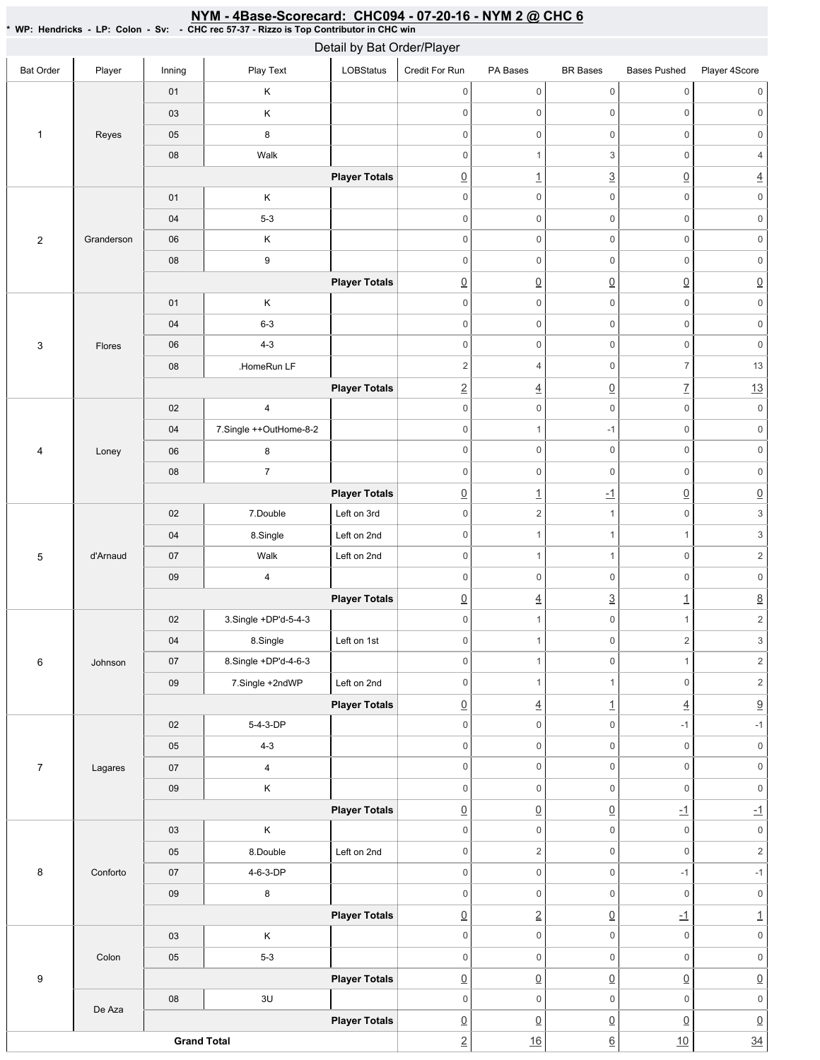| <b>Bat Order</b> | Player     | Inning             | Play Text               | LOBStatus            | Credit For Run      | PA Bases            | <b>BR</b> Bases           | <b>Bases Pushed</b>                                                                                  | Player 4Score             |
|------------------|------------|--------------------|-------------------------|----------------------|---------------------|---------------------|---------------------------|------------------------------------------------------------------------------------------------------|---------------------------|
|                  |            | 01                 | Κ                       |                      | $\mathsf 0$         | $\mathsf{O}\xspace$ | $\mathsf 0$               | $\mathsf 0$                                                                                          | $\mathbf 0$               |
|                  |            | 03                 | Κ                       |                      | $\mathbf 0$         | $\mathsf{O}\xspace$ | $\mathsf 0$               | $\mathsf 0$                                                                                          | $\mathbf 0$               |
| $\mathbf{1}$     | Reyes      | 05                 | 8                       |                      | $\mathbf 0$         | $\mathsf{O}\xspace$ | $\mathsf{O}\xspace$       | $\mathsf{O}\xspace$                                                                                  | $\,0\,$                   |
|                  |            | ${\bf 08}$         | Walk                    |                      | $\mathbf 0$         | $\mathbf{1}$        | $\ensuremath{\mathsf{3}}$ | $\mathsf{O}\xspace$                                                                                  | $\sqrt{4}$                |
|                  |            |                    |                         | <b>Player Totals</b> | $\underline{0}$     | $\overline{1}$      | $\overline{3}$            | $\underline{0}$                                                                                      | $\overline{4}$            |
|                  |            | 01                 | $\sf K$                 |                      | $\mathbf 0$         | $\mathsf{O}\xspace$ | $\mathbf 0$               | $\mathsf{O}\xspace$                                                                                  | $\mathsf{O}\xspace$       |
|                  |            | 04                 | $5 - 3$                 |                      | $\mathbf 0$         | $\mathsf{O}\xspace$ | $\mathsf 0$               | $\mathsf{O}\xspace$                                                                                  | $\mathsf{O}\xspace$       |
| $\overline{c}$   | Granderson | $06\,$             | $\sf K$                 |                      | $\mathbf 0$         | $\mathsf{O}\xspace$ | $\mathsf{O}\xspace$       | $\mathsf{O}\xspace$                                                                                  | $\mathsf{O}\xspace$       |
|                  |            | 08                 | 9                       |                      | $\mathsf 0$         | $\mathsf{O}\xspace$ | $\mathbf 0$               | $\mathsf{O}\xspace$                                                                                  | $\mathsf{O}\xspace$       |
|                  |            |                    |                         | <b>Player Totals</b> | $\underline{0}$     | $\underline{0}$     | $\overline{0}$            | $\underline{0}$                                                                                      | $\underline{0}$           |
|                  |            | 01                 | $\sf K$                 |                      | $\mathbf 0$         | $\mathsf{O}\xspace$ | $\mathsf{O}\xspace$       | $\mathbf 0$                                                                                          | $\mathsf{O}\xspace$       |
|                  |            | 04                 | $6 - 3$                 |                      | $\mathbf 0$         | $\mathsf{O}\xspace$ | $\mathbf 0$               | $\mathsf{O}\xspace$                                                                                  | $\mathsf{O}\xspace$       |
| 3                | Flores     | 06                 | $4 - 3$                 |                      | $\mathbf 0$         | $\mathsf{O}\xspace$ | $\mathbf 0$               | $\mathsf{O}\xspace$                                                                                  | $\mathsf 0$               |
|                  |            | ${\bf 08}$         | .HomeRun LF             |                      | $\sqrt{2}$          | $\overline{4}$      | $\boldsymbol{0}$          | $\boldsymbol{7}$                                                                                     | $13$                      |
|                  |            |                    |                         | <b>Player Totals</b> | $\underline{2}$     | $\overline{4}$      | $\overline{0}$            | $\underline{\mathcal{I}}$                                                                            | 13                        |
|                  |            | $02\,$             | $\overline{\mathbf{4}}$ |                      | $\mathbf 0$         | $\mathsf{O}\xspace$ | $\mathbf 0$               | $\mathbf 0$                                                                                          | $\mathsf{O}\xspace$       |
|                  |            | 04                 | 7.Single ++OutHome-8-2  |                      | $\mathsf 0$         | $\mathbf{1}$        | $-1$                      | $\mathbf 0$                                                                                          | $\mathsf 0$               |
| 4                | Loney      | 06                 | 8                       |                      | $\mathbf 0$         | $\mathbf 0$         | $\mathsf 0$               | $\mathbf 0$                                                                                          | $\mathbb O$               |
|                  |            | 08                 | $\overline{\mathbf{7}}$ |                      | $\mathbf 0$         | $\mathsf{O}\xspace$ | $\mathsf 0$               | $\mathsf{O}\xspace$                                                                                  | $\mathsf{0}$              |
|                  |            |                    |                         | <b>Player Totals</b> | $\underline{0}$     | $\overline{1}$      | $\overline{-1}$           | $\underline{0}$<br>$\underline{4}$<br>$-1$<br>$-1$<br>$-1$<br>$\underline{0}$<br>$\mathsf{O}\xspace$ | $\underline{0}$           |
|                  |            | 02                 | 7.Double                | Left on 3rd          | $\mathbf 0$         | $\overline{2}$      | $\mathbf{1}$              | $\mathbf 0$                                                                                          | $\ensuremath{\mathsf{3}}$ |
|                  |            | 04                 | 8.Single                | Left on 2nd          | $\mathbf 0$         | $\mathbf{1}$        | $\mathbf{1}$              | $\mathbf{1}$                                                                                         | $\ensuremath{\mathsf{3}}$ |
| 5                | d'Arnaud   | 07                 | Walk                    | Left on 2nd          | $\mathbf 0$         | $\mathbf{1}$        | $\mathbf{1}$              | $\mathsf{O}\xspace$                                                                                  | $\sqrt{2}$                |
|                  |            | 09                 | 4                       |                      | $\mathbf 0$         | $\mathsf{O}\xspace$ | $\mathsf 0$               | $\mathsf{O}\xspace$                                                                                  | $\mathsf{O}\xspace$       |
|                  |            |                    |                         | <b>Player Totals</b> | $\underline{0}$     | $\overline{4}$      | $\overline{3}$            | $\underline{\mathbf{1}}$                                                                             | $\underline{8}$           |
|                  |            | 02                 | 3.Single +DP'd-5-4-3    |                      | $\boldsymbol{0}$    | $\mathbf{1}$        | $\mathsf 0$               | $\mathbf{1}$                                                                                         | $\overline{a}$            |
|                  |            | 04                 | 8.Single                | Left on 1st          | $\mathsf{O}\xspace$ | $\mathbf{1}$        | $\mathsf 0$               | $\overline{2}$                                                                                       | $\ensuremath{\mathsf{3}}$ |
| $\,6\,$          | Johnson    | 07                 | 8.Single +DP'd-4-6-3    |                      | $\mathsf 0$         | $\mathbf{1}$        | $\mathsf{O}\xspace$       | $\mathbf{1}$                                                                                         | $\overline{2}$            |
|                  |            | 09                 | 7.Single +2ndWP         | Left on 2nd          | $\mathbf 0$         | $\mathbf{1}$        | $\mathbf{1}$              | $\mathsf{O}\xspace$                                                                                  | $\sqrt{2}$                |
|                  |            |                    |                         | <b>Player Totals</b> | $\underline{0}$     | $\underline{4}$     | $\overline{1}$            |                                                                                                      | $\underline{9}$           |
|                  |            | 02                 | 5-4-3-DP                |                      | $\mathbf 0$         | $\mathsf{O}\xspace$ | $\mathsf{O}\xspace$       | $-1$                                                                                                 | $-1$                      |
|                  |            | 05                 | $4 - 3$                 |                      | $\mathbf 0$         | $\mathsf{O}\xspace$ | $\mathsf{O}\xspace$       | $\mathsf{O}\xspace$                                                                                  | $\mathsf{O}\xspace$       |
| $\overline{7}$   | Lagares    | 07                 | $\overline{\mathbf{4}}$ |                      | $\mathsf 0$         | $\mathsf{O}\xspace$ | $\mathsf{O}\xspace$       | $\mathsf{O}\xspace$                                                                                  | $\mathsf{O}\xspace$       |
|                  |            | 09                 | $\sf K$                 |                      | $\mathbf 0$         | $\mathsf{O}\xspace$ | $\mathsf{O}\xspace$       | $\mathbf 0$                                                                                          | $\mathsf{O}\xspace$       |
|                  |            |                    |                         | <b>Player Totals</b> | $\underline{0}$     | $\underline{0}$     | $\underline{0}$           |                                                                                                      | $-1$                      |
|                  |            | 03                 | Κ                       |                      | $\mathbf 0$         | $\mathsf{O}\xspace$ | $\mathsf{O}\xspace$       | $\mathsf{O}\xspace$                                                                                  | $\mathsf{O}\xspace$       |
|                  |            | 05                 | 8.Double                | Left on 2nd          | $\mathbf 0$         | $\sqrt{2}$          | $\mathbf 0$               | $\mathbf 0$                                                                                          | $\sqrt{2}$                |
| $\,8\,$          | Conforto   | 07                 | 4-6-3-DP                |                      | $\mathbf 0$         | $\mathsf{O}\xspace$ | $\mathsf{O}\xspace$       |                                                                                                      | $-1$                      |
|                  |            | 09                 | 8                       |                      | $\mathbf 0$         | $\mathsf{O}\xspace$ | $\mathsf{O}\xspace$       | $\mathsf{O}$                                                                                         | $\mathsf{O}\xspace$       |
|                  |            |                    |                         | <b>Player Totals</b> | $\underline{0}$     | $\overline{2}$      | $\overline{0}$            |                                                                                                      | $\overline{1}$            |
|                  |            | 03                 | $\sf K$                 |                      | $\mathsf{O}\xspace$ | $\mathsf{O}\xspace$ | $\mathsf{O}\xspace$       | $\mathsf{O}\xspace$                                                                                  | $\mathsf{O}\xspace$       |
|                  | Colon      | 05                 | $5 - 3$                 |                      | $\mathbf 0$         | $\mathsf{O}\xspace$ | $\mathsf{O}\xspace$       | $\mathsf{O}\xspace$                                                                                  | $\mathsf{O}\xspace$       |
|                  |            |                    |                         |                      |                     |                     |                           |                                                                                                      |                           |
| $\boldsymbol{9}$ |            |                    |                         | <b>Player Totals</b> | $\underline{0}$     | $\underline{0}$     | $\underline{0}$           |                                                                                                      | $\underline{0}$           |
|                  | De Aza     | 08                 | $3\mathsf{U}$           |                      | $\mathbf 0$         | $\mathsf{O}\xspace$ | $\mathsf{O}\xspace$       |                                                                                                      | $\mathsf{O}\xspace$       |
|                  |            |                    |                         | <b>Player Totals</b> | $\underline{0}$     | $\underline{0}$     | $\underline{0}$           | $\underline{0}$                                                                                      | $\underline{0}$           |
|                  |            | <b>Grand Total</b> |                         |                      | $\overline{2}$      | 16                  | 6                         | 10                                                                                                   | 34                        |

### <u>NYM - 4Base-Scorecard: CHC094 - 07-20-16 - NYM 2 @ CHC 6</u>

\*WP:Hendricks-LP:Colon-Sv: -CHCrec57-37-RizzoisTopContributorinCHCwin